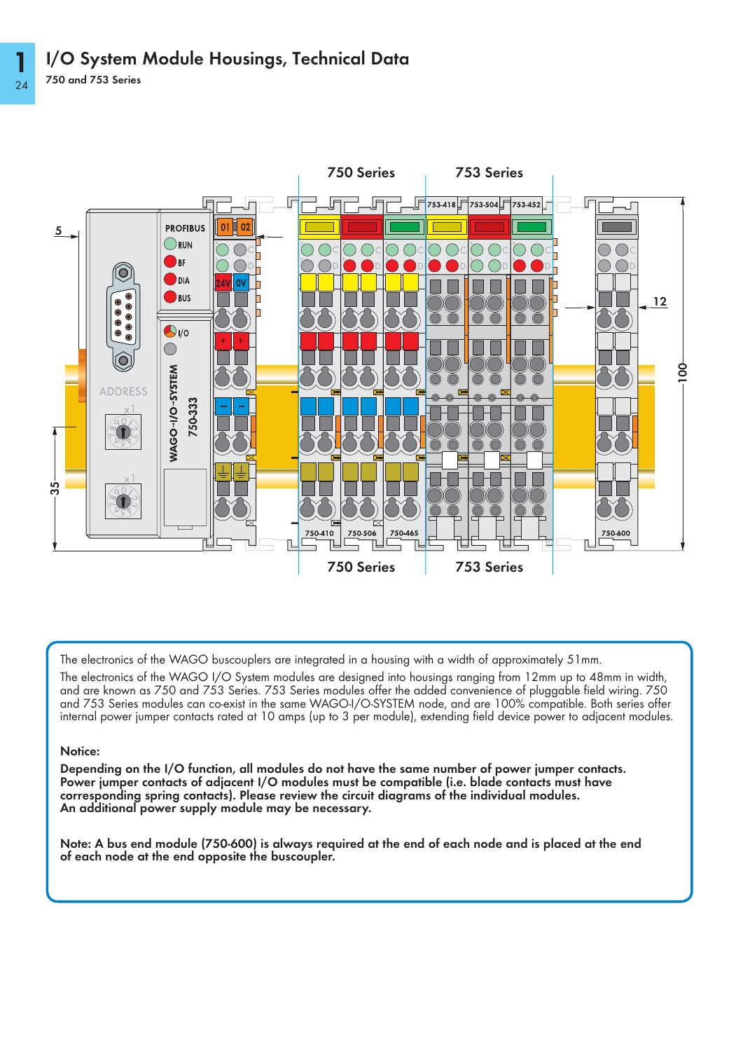

The electronics of the WAGO buscouplers are integrated in a housing with a width of approximately 51mm.

The electronics of the WAGO I/O System modules are designed into housings ranging from 12mm up to 48mm in width, and are known as 750 and 753 Series. 753 Series modules offer the added convenience of pluggable field wiring. 750 and 753 Series modules can co-exist in the same WAGO-I/O-SYSTEM node, and are 100% compatible. Both series offer internal power jumper contacts rated at 10 amps (up to 3 per module), extending field device power to adjacent modules.

## Notice:

Depending on the I/O function, all modules do not have the same number of power jumper contacts. Power jumper contacts of adjacent I/O modules must be compatible (i.e. blade contacts must have corresponding spring contacts). Please review the circuit diagrams of the individual modules. An additional power supply module may be necessary.

Note: A bus end module (750-600) is always required at the end of each node and is placed at the end of each node at the end opposite the buscoupler.